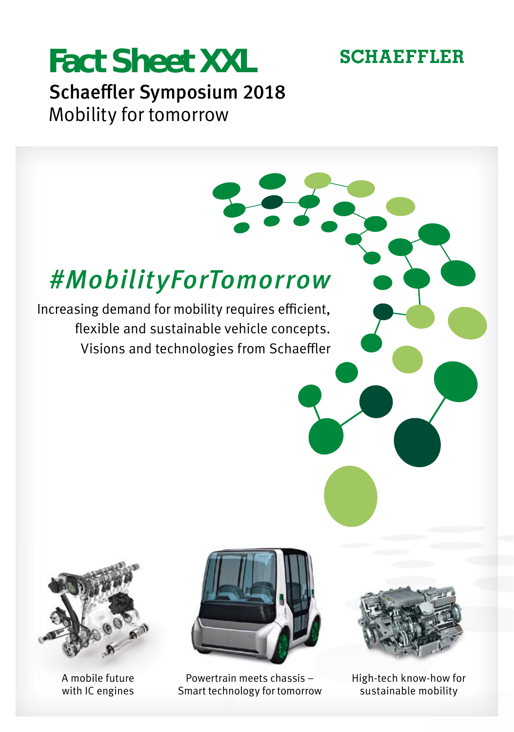### **SCHAEFFLER**

## **Fact Sheet XXL** Schaeffler Symposium 2018 Mobility for tomorrow

## *#MobilityForTomorrow*

Increasing demand for mobility requires efficient, flexible and sustainable vehicle concepts. Visions and technologies from Schaeffler



A mobile future with IC engines



Powertrain meets chassis – Smart technology for tomorrow



High-tech know-how for sustainable mobility